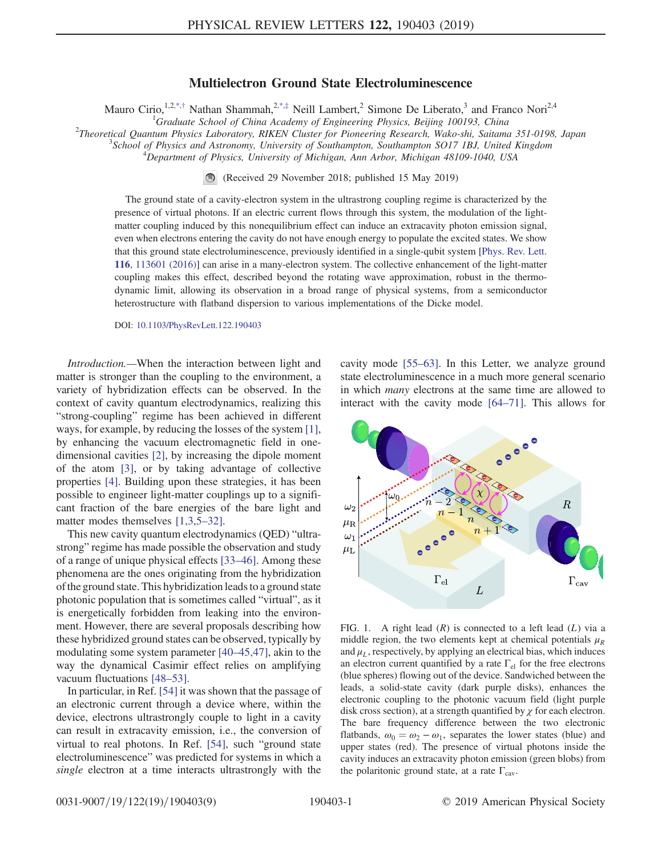## Multielectron Ground State Electroluminescence

Mauro Cirio,<sup>1,2[,\\*,](#page-4-0)†</sup> Nathan Shammah,<sup>2,\*,‡</sup> Neill Lambert,<sup>2</sup> Simone De Liberato,<sup>3</sup> and Franco Nori<sup>2,4</sup>

<span id="page-0-1"></span><sup>1</sup>Graduate School of China Academy of Engineering Physics, Beijing 100193, China<br><sup>2</sup>Theoretical Quantum Physics Laboratory, PIKEN Cluster for Bioneering Pescarah Wake shi, Saitam

 $2$ Theoretical Quantum Physics Laboratory, RIKEN Cluster for Pioneering Research, Wako-shi, Saitama 351-0198, Japan

School of Physics and Astronomy, University of Southampton, Southampton SO17 1BJ, United Kingdom <sup>4</sup>

 $^4$ Department of Physics, University of Michigan, Ann Arbor, Michigan 48109-1040, USA

(Received 29 November 2018; published 15 May 2019)

The ground state of a cavity-electron system in the ultrastrong coupling regime is characterized by the presence of virtual photons. If an electric current flows through this system, the modulation of the lightmatter coupling induced by this nonequilibrium effect can induce an extracavity photon emission signal, even when electrons entering the cavity do not have enough energy to populate the excited states. We show that this ground state electroluminescence, previously identified in a single-qubit system [[Phys. Rev. Lett.](https://doi.org/10.1103/PhysRevLett.116.113601) 116[, 113601 \(2016\)\]](https://doi.org/10.1103/PhysRevLett.116.113601) can arise in a many-electron system. The collective enhancement of the light-matter coupling makes this effect, described beyond the rotating wave approximation, robust in the thermodynamic limit, allowing its observation in a broad range of physical systems, from a semiconductor heterostructure with flatband dispersion to various implementations of the Dicke model.

DOI: [10.1103/PhysRevLett.122.190403](https://doi.org/10.1103/PhysRevLett.122.190403)

Introduction.—When the interaction between light and matter is stronger than the coupling to the environment, a variety of hybridization effects can be observed. In the context of cavity quantum electrodynamics, realizing this "strong-coupling" regime has been achieved in different ways, for example, by reducing the losses of the system [\[1\]](#page-4-1), by enhancing the vacuum electromagnetic field in onedimensional cavities [\[2\],](#page-4-2) by increasing the dipole moment of the atom [\[3\],](#page-4-3) or by taking advantage of collective properties [\[4\]](#page-4-4). Building upon these strategies, it has been possible to engineer light-matter couplings up to a significant fraction of the bare energies of the bare light and matter modes themselves [\[1,3,5](#page-4-1)–32].

This new cavity quantum electrodynamics (QED) "ultrastrong" regime has made possible the observation and study of a range of unique physical effects [33–[46\].](#page-5-0) Among these phenomena are the ones originating from the hybridization of the ground state. This hybridization leads to a ground state photonic population that is sometimes called "virtual", as it is energetically forbidden from leaking into the environment. However, there are several proposals describing how these hybridized ground states can be observed, typically by modulating some system parameter [40–[45,47\],](#page-5-1) akin to the way the dynamical Casimir effect relies on amplifying vacuum fluctuations [48–[53\].](#page-6-0)

In particular, in Ref. [\[54\]](#page-6-1) it was shown that the passage of an electronic current through a device where, within the device, electrons ultrastrongly couple to light in a cavity can result in extracavity emission, i.e., the conversion of virtual to real photons. In Ref. [\[54\],](#page-6-1) such "ground state electroluminescence" was predicted for systems in which a single electron at a time interacts ultrastrongly with the cavity mode [55–[63\].](#page-6-2) In this Letter, we analyze ground state electroluminescence in a much more general scenario in which many electrons at the same time are allowed to interact with the cavity mode [64–[71\]](#page-6-3). This allows for

<span id="page-0-0"></span>

FIG. 1. A right lead  $(R)$  is connected to a left lead  $(L)$  via a middle region, the two elements kept at chemical potentials  $\mu_R$ and  $\mu_L$ , respectively, by applying an electrical bias, which induces an electron current quantified by a rate  $\Gamma_{el}$  for the free electrons (blue spheres) flowing out of the device. Sandwiched between the leads, a solid-state cavity (dark purple disks), enhances the electronic coupling to the photonic vacuum field (light purple disk cross section), at a strength quantified by  $\chi$  for each electron. The bare frequency difference between the two electronic flatbands,  $\omega_0 = \omega_2 - \omega_1$ , separates the lower states (blue) and upper states (red). The presence of virtual photons inside the cavity induces an extracavity photon emission (green blobs) from the polaritonic ground state, at a rate  $\Gamma_{\text{cav}}$ .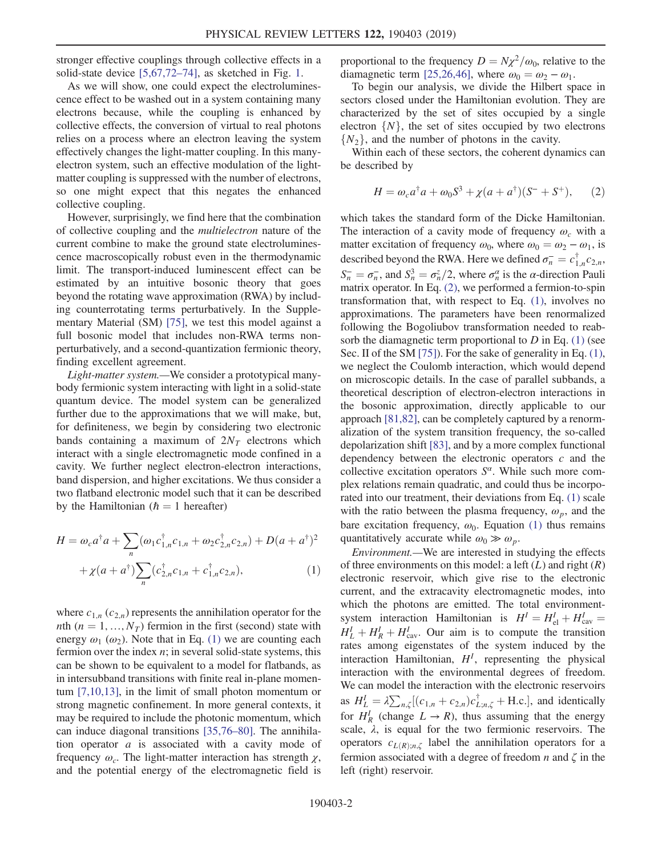stronger effective couplings through collective effects in a solid-state device [\[5,67,72](#page-4-5)–74], as sketched in Fig. [1](#page-0-0).

As we will show, one could expect the electroluminescence effect to be washed out in a system containing many electrons because, while the coupling is enhanced by collective effects, the conversion of virtual to real photons relies on a process where an electron leaving the system effectively changes the light-matter coupling. In this manyelectron system, such an effective modulation of the lightmatter coupling is suppressed with the number of electrons, so one might expect that this negates the enhanced collective coupling.

However, surprisingly, we find here that the combination of collective coupling and the multielectron nature of the current combine to make the ground state electroluminescence macroscopically robust even in the thermodynamic limit. The transport-induced luminescent effect can be estimated by an intuitive bosonic theory that goes beyond the rotating wave approximation (RWA) by including counterrotating terms perturbatively. In the Supplementary Material (SM) [\[75\]](#page-7-0), we test this model against a full bosonic model that includes non-RWA terms nonperturbatively, and a second-quantization fermionic theory, finding excellent agreement.

Light-matter system.—We consider a prototypical manybody fermionic system interacting with light in a solid-state quantum device. The model system can be generalized further due to the approximations that we will make, but, for definiteness, we begin by considering two electronic bands containing a maximum of  $2N<sub>T</sub>$  electrons which interact with a single electromagnetic mode confined in a cavity. We further neglect electron-electron interactions, band dispersion, and higher excitations. We thus consider a two flatband electronic model such that it can be described by the Hamiltonian ( $\hbar = 1$  hereafter)

<span id="page-1-0"></span>
$$
H = \omega_c a^{\dagger} a + \sum_{n} (\omega_1 c_{1,n}^{\dagger} c_{1,n} + \omega_2 c_{2,n}^{\dagger} c_{2,n}) + D(a + a^{\dagger})^2
$$
  
+  $\chi(a + a^{\dagger}) \sum_{n} (c_{2,n}^{\dagger} c_{1,n} + c_{1,n}^{\dagger} c_{2,n}),$  (1)

where  $c_{1,n}$  ( $c_{2,n}$ ) represents the annihilation operator for the nth ( $n = 1, ..., N<sub>T</sub>$ ) fermion in the first (second) state with energy  $\omega_1$  ( $\omega_2$ ). Note that in Eq. [\(1\)](#page-1-0) we are counting each fermion over the index  $n$ ; in several solid-state systems, this can be shown to be equivalent to a model for flatbands, as in intersubband transitions with finite real in-plane momentum [\[7,10,13\],](#page-4-6) in the limit of small photon momentum or strong magnetic confinement. In more general contexts, it may be required to include the photonic momentum, which can induce diagonal transitions [\[35,76](#page-5-2)–80]. The annihilation operator a is associated with a cavity mode of frequency  $\omega_c$ . The light-matter interaction has strength  $\chi$ , and the potential energy of the electromagnetic field is

proportional to the frequency  $D = N\chi^2/\omega_0$ , relative to the diamagnetic term [\[25,26,46\]](#page-5-3), where  $\omega_0 = \omega_2 - \omega_1$ .

To begin our analysis, we divide the Hilbert space in sectors closed under the Hamiltonian evolution. They are characterized by the set of sites occupied by a single electron  $\{N\}$ , the set of sites occupied by two electrons  $\{N_2\}$ , and the number of photons in the cavity.

<span id="page-1-1"></span>Within each of these sectors, the coherent dynamics can be described by

$$
H = \omega_c a^{\dagger} a + \omega_0 S^3 + \chi (a + a^{\dagger}) (S^- + S^+), \qquad (2)
$$

which takes the standard form of the Dicke Hamiltonian. The interaction of a cavity mode of frequency  $\omega_c$  with a matter excitation of frequency  $\omega_0$ , where  $\omega_0 = \omega_2 - \omega_1$ , is described beyond the RWA. Here we defined  $\sigma_n^- = c_{1,n}^{\dagger} c_{2,n}$ ,<br>S=  $\sigma_n^- =$  and S<sup>3</sup>  $\sigma_n^2/2$ , where  $\sigma_n^2$  is the *n* direction Dayli  $S_n^- = \sigma_n^-$ , and  $S_n^3 = \sigma_n^2/2$ , where  $\sigma_n^{\alpha}$  is the  $\alpha$ -direction Pauli<br>matrix operator. In Eq. (2), we performed a fermion-to-spin matrix operator. In Eq. [\(2\),](#page-1-1) we performed a fermion-to-spin transformation that, with respect to Eq. [\(1\)](#page-1-0), involves no approximations. The parameters have been renormalized following the Bogoliubov transformation needed to reabsorb the diamagnetic term proportional to  $D$  in Eq. [\(1\)](#page-1-0) (see Sec. II of the SM [\[75\]](#page-7-0)). For the sake of generality in Eq. [\(1\)](#page-1-0), we neglect the Coulomb interaction, which would depend on microscopic details. In the case of parallel subbands, a theoretical description of electron-electron interactions in the bosonic approximation, directly applicable to our approach [\[81,82\],](#page-7-1) can be completely captured by a renormalization of the system transition frequency, the so-called depolarization shift [\[83\]](#page-7-2), and by a more complex functional dependency between the electronic operators c and the collective excitation operators  $S^{\alpha}$ . While such more complex relations remain quadratic, and could thus be incorporated into our treatment, their deviations from Eq. [\(1\)](#page-1-0) scale with the ratio between the plasma frequency,  $\omega_p$ , and the bare excitation frequency,  $\omega_0$ . Equation [\(1\)](#page-1-0) thus remains quantitatively accurate while  $\omega_0 \gg \omega_p$ .

Environment.—We are interested in studying the effects of three environments on this model: a left  $(L)$  and right  $(R)$ electronic reservoir, which give rise to the electronic current, and the extracavity electromagnetic modes, into which the photons are emitted. The total environmentsystem interaction Hamiltonian is  $H^I = H_{el}^I + H_{cav}^I$  $\epsilon_{\rm el} + H_{\rm cav} =$  $H_L^1 + H_R^1 + H_{\text{cav}}^1$ . Our aim is to compute the transition rates among eigenstates of the system induced by the rates among eigenstates of the system induced by the interaction Hamiltonian,  $H<sup>I</sup>$ , representing the physical<br>interaction with the environmental degrees of freedom interaction with the environmental degrees of freedom. We can model the interaction with the electronic reservoirs as  $H_L^I = \lambda \sum_{n,\zeta} [(c_{1,n} + c_{2,n})c_{L;n,\zeta}^{\dagger} + \text{H.c.}],$  and identically for  $H_R^1$  (change  $L \to R$ ), thus assuming that the energy<br>scale  $\lambda$  is equal for the two fermionic reservoirs. The scale,  $\lambda$ , is equal for the two fermionic reservoirs. The operators  $c_{L(R);n,\zeta}$  label the annihilation operators for a fermion associated with a degree of freedom  $n$  and  $\zeta$  in the left (right) reservoir.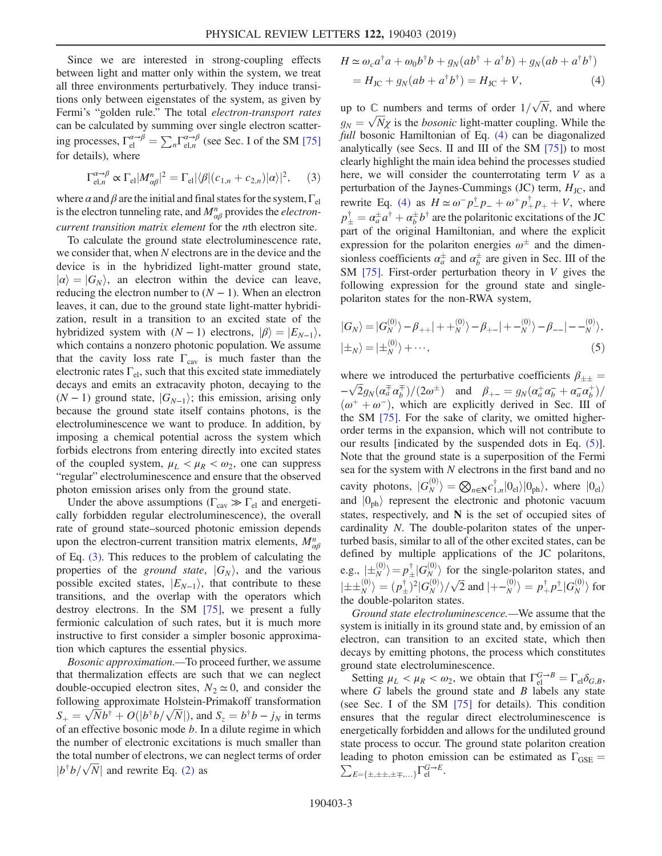Since we are interested in strong-coupling effects between light and matter only within the system, we treat all three environments perturbatively. They induce transitions only between eigenstates of the system, as given by Fermi's "golden rule." The total electron-transport rates can be calculated by summing over single electron scattering processes,  $\Gamma_{el}^{\alpha \rightarrow \beta} = \sum_{n} \Gamma_{el,n}^{\alpha \rightarrow \beta}$  (see Sec. I of the SM [\[75\]](#page-7-0) for details), where

<span id="page-2-0"></span>
$$
\Gamma_{\text{el},n}^{\alpha \to \beta} \propto \Gamma_{\text{el}} |M_{\alpha\beta}^n|^2 = \Gamma_{\text{el}} |\langle \beta | (c_{1,n} + c_{2,n}) | \alpha \rangle|^2, \quad (3)
$$

where  $\alpha$  and  $\beta$  are the initial and final states for the system,  $\Gamma_{el}$ is the electron tunneling rate, and  $M_{\alpha\beta}^n$  provides the *electron-*<br>authority transition matrix element for the *n*<sup>th</sup> electron-site current transition matrix element for the nth electron site.

To calculate the ground state electroluminescence rate, we consider that, when N electrons are in the device and the device is in the hybridized light-matter ground state,  $|\alpha\rangle=|G_N\rangle$ , an electron within the device can leave, reducing the electron number to  $(N - 1)$ . When an electron leaves, it can, due to the ground state light-matter hybridization, result in a transition to an excited state of the hybridized system with  $(N - 1)$  electrons,  $|\beta\rangle = |E_{N-1}\rangle$ , which contains a nonzero photonic population. We assume that the cavity loss rate  $\Gamma_{\text{cav}}$  is much faster than the electronic rates  $\Gamma_{el}$ , such that this excited state immediately decays and emits an extracavity photon, decaying to the  $(N-1)$  ground state,  $|G_{N-1}\rangle$ ; this emission, arising only because the ground state itself contains photons, is the electroluminescence we want to produce. In addition, by imposing a chemical potential across the system which forbids electrons from entering directly into excited states of the coupled system,  $\mu_L < \mu_R < \omega_2$ , one can suppress "regular" electroluminescence and ensure that the observed photon emission arises only from the ground state.

Under the above assumptions ( $\Gamma_{\text{cav}} \gg \Gamma_{\text{el}}$  and energetically forbidden regular electroluminescence), the overall rate of ground state–sourced photonic emission depends upon the electron-current transition matrix elements,  $M_{\alpha\beta}^n$ <br>of Eq. (2). This reduces to the problem of calculating the of Eq. [\(3\).](#page-2-0) This reduces to the problem of calculating the properties of the *ground state*,  $|G_N\rangle$ , and the various possible excited states,  $|E_{N-1}\rangle$ , that contribute to these transitions, and the overlap with the operators which destroy electrons. In the SM [\[75\]](#page-7-0), we present a fully fermionic calculation of such rates, but it is much more instructive to first consider a simpler bosonic approximation which captures the essential physics.

<span id="page-2-1"></span>Bosonic approximation.—To proceed further, we assume that thermalization effects are such that we can neglect double-occupied electron sites,  $N_2 \simeq 0$ , and consider the following approximate Holstein-Primakoff transformation  $S_+ = \sqrt{N}b^{\dagger} + O(|b^{\dagger}b/\sqrt{N}|)$ , and  $S_z = b^{\dagger}b - j_N$  in terms of an effective bosonic mode b. In a dilute regime in which of an effective bosonic mode b. In a dilute regime in which<br>the number of electronic excitations is much smaller than the number of electronic excitations is much smaller than the total number of electrons, we can neglect terms of order  $|b^{\dagger}b/\sqrt{N}|$  and rewrite Eq. [\(2\)](#page-1-1) as

$$
H \simeq \omega_c a^{\dagger} a + \omega_0 b^{\dagger} b + g_N (a b^{\dagger} + a^{\dagger} b) + g_N (a b + a^{\dagger} b^{\dagger})
$$
  
=  $H_{\rm JC} + g_N (a b + a^{\dagger} b^{\dagger}) = H_{\rm JC} + V,$  (4)

up to C numbers and terms of order  $1/\sqrt{N}$ , and where  $a = \sqrt{N}$  is the hosonic light metter counting. While the  $g_N = \sqrt{N}\chi$  is the *bosonic* light-matter coupling. While the<br>full bosonic Hamiltonian of Eq. (4) can be diagonalized full bosonic Hamiltonian of Eq. [\(4\)](#page-2-1) can be diagonalized analytically (see Secs. II and III of the SM [\[75\]\)](#page-7-0) to most clearly highlight the main idea behind the processes studied here, we will consider the counterrotating term  $V$  as a perturbation of the Jaynes-Cummings (JC) term,  $H_{\text{JC}}$ , and rewrite Eq. [\(4\)](#page-2-1) as  $H \simeq \omega^- p^{\dagger}_+ p^- + \omega^+ p^{\dagger}_+ p_+ + V$ , where  $p_{\pm}^{\dagger} = \alpha_{a}^{\pm} a^{\dagger} + \alpha_{b}^{\pm} b^{\dagger}$  are the polaritonic excitations of the JC<br>part of the original Hamiltonian, and where the explicit part of the original Hamiltonian, and where the explicit expression for the polariton energies  $\omega^{\pm}$  and the dimensionless coefficients  $\alpha_a^{\pm}$  and  $\alpha_b^{\pm}$  are given in Sec. III of the SM 1751. First order perturbation theory in V gives the SM [\[75\]](#page-7-0). First-order perturbation theory in V gives the following expression for the ground state and singlepolariton states for the non-RWA system,

<span id="page-2-2"></span>
$$
|G_N\rangle = |G_N^{(0)}\rangle - \beta_{++}| + \langle G_N^{(0)}\rangle - \beta_{+-}| + \langle G_N^{(0)}\rangle - \beta_{--}| - \langle G_N^{(0)}\rangle,
$$
  

$$
|\pm_N\rangle = |\pm_N^{(0)}\rangle + \cdots,
$$
 (5)

where we introduced the perturbative coefficients  $\beta_{\pm\pm}$  =  $-\sqrt{2}g_N(\alpha_a^{\pm}\alpha_b^{\mp})/(2\omega^{\pm})$  and  $\beta_{+-} = g_N(\alpha_a^{\pm}\alpha_b^- + \alpha_a^{\pm}\alpha_b^{\pm})$  $(\omega^+ + \omega^-)$ , which are explicitly derived in Sec. III of<br>the SM [75] For the sake of clarity we omitted higherthe SM [\[75\]](#page-7-0). For the sake of clarity, we omitted higherorder terms in the expansion, which will not contribute to our results [indicated by the suspended dots in Eq. [\(5\)](#page-2-2)]. Note that the ground state is a superposition of the Fermi sea for the system with  $N$  electrons in the first band and no cavity photons,  $|G_N^{(0)}\rangle = \bigotimes_{n\in\mathbb{N}} c_{1,n}^{\dagger} |0_{el}\rangle |0_{ph}\rangle$ , where  $|0_{el}\rangle$ and  $|0_{\text{ph}}\rangle$  represent the electronic and photonic vacuum states, respectively, and N is the set of occupied sites of cardinality N. The double-polariton states of the unperturbed basis, similar to all of the other excited states, can be defined by multiple applications of the JC polaritons, e.g.,  $\ket{\pm_N^{(0)}} = p^{\dagger}_{\pm} |G_N^{(0)}\rangle$  for the single-polariton states, and  $|\pm\pm_{N}^{(0)}\rangle = (p_{\pm}^{\dagger})^2 |G_{N}^{(0)}\rangle / \sqrt{2}$  and  $|+-_{N}^{(0)}\rangle = p_{+}^{\dagger} p_{-}^{\dagger} |G_{N}^{(0)}\rangle$  for the double-polariton states.

Ground state electroluminescence.—We assume that the system is initially in its ground state and, by emission of an electron, can transition to an excited state, which then decays by emitting photons, the process which constitutes ground state electroluminescence.

Setting  $\mu_L < \mu_R < \omega_2$ , we obtain that  $\Gamma_{el}^{G \to B} = \Gamma_{el} \delta_{G,B}$ ,<br>nere G labels the ground state and B labels any state where  $G$  labels the ground state and  $B$  labels any state (see Sec. I of the SM [\[75\]](#page-7-0) for details). This condition ensures that the regular direct electroluminescence is energetically forbidden and allows for the undiluted ground state process to occur. The ground state polariton creation leading to photon emission can be estimated as  $\Gamma_{\text{GSE}} = \sum_{k=1}^{n} \Gamma_{\text{GSE}}^k$  $\sum_{E=\{\pm,\pm\pm,\pm\mp,...\}}\Gamma_{\text{el}}^{G\to E}.$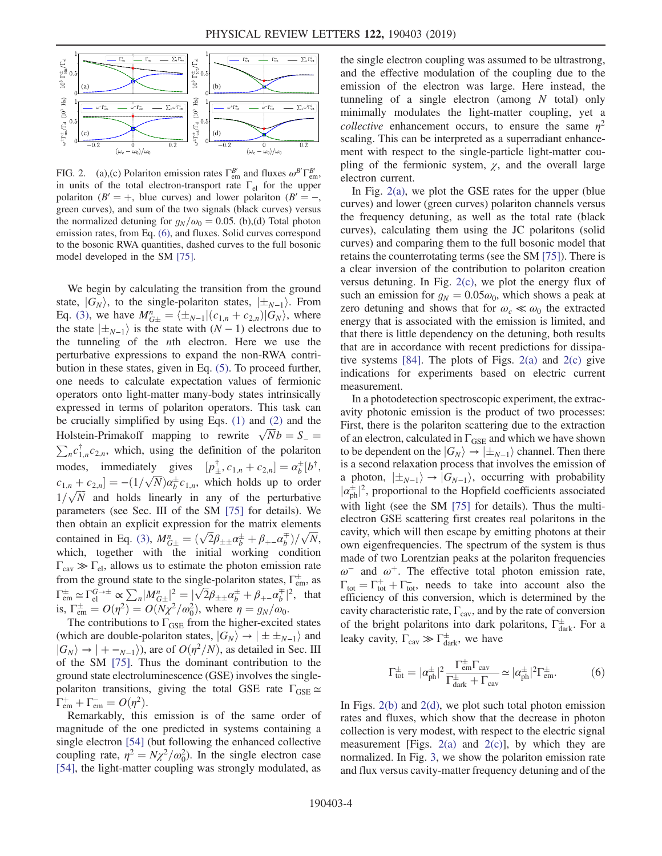<span id="page-3-0"></span>

FIG. 2. (a),(c) Polariton emission rates  $\Gamma_{em}^{B'}$  and fluxes  $\omega^{B'} \Gamma_{em}^{B'}$ , in units of the total electron-transport rate  $\Gamma_{el}$  for the upper polariton ( $B' = +$ , blue curves) and lower polariton ( $B' = -$ , green curves), and sum of the two signals (black curves) versus the normalized detuning for  $g_N/\omega_0 = 0.05$ . (b),(d) Total photon emission rates, from Eq. [\(6\)](#page-3-1), and fluxes. Solid curves correspond to the bosonic RWA quantities, dashed curves to the full bosonic model developed in the SM [\[75\].](#page-7-0)

We begin by calculating the transition from the ground state,  $|G_N\rangle$ , to the single-polariton states,  $|\pm_{N-1}\rangle$ . From Eq. [\(3\)](#page-2-0), we have  $M_{G\pm}^n = \langle \pm_{N-1} | (c_{1,n} + c_{2,n}) | G_N \rangle$ , where the state  $|\pm_{N-1}\rangle$  is the state with  $(N-1)$  electrons due to the tunneling of the nth electron. Here we use the perturbative expressions to expand the non-RWA contribution in these states, given in Eq. [\(5\)](#page-2-2). To proceed further, one needs to calculate expectation values of fermionic operators onto light-matter many-body states intrinsically expressed in terms of polariton operators. This task can be crucially simplified by using Eqs. [\(1\)](#page-1-0) and [\(2\)](#page-1-1) and the Holstein-Primakoff mapping to rewrite  $\sqrt{N}b = S_{-}$ Holstein-Primakoff mapping to rewrite  $\sqrt{N}b = S_- = \sum_n c_{1,n}^{\dagger} c_{2,n}$ , which, using the definition of the polariton modes, immediately gives  $[p^{\dagger}_{+}, c_{1,n} + c_{2,n}] = \alpha^{\dagger}_{b} [b^{\dagger},c_{1,n} + c_{2,n}]$  $c_{1,n} + c_{2,n} = -(1/\sqrt{N})\alpha_{\overline{p}}^{\pm} c_{1,n}$ , which holds up to order  $1/\sqrt{N}$  and holds linearly in any of the perturbative<br>parameters (see Sec. III of the SM [75] for details). We parameters (see Sec. III of the SM [\[75\]](#page-7-0) for details). We then obtain an explicit expression for the matrix elements contained in Eq. [\(3\)](#page-2-0),  $M_{G\pm}^n = (\sqrt{2}\beta_{\pm\pm}\alpha_b^{\pm} + \beta_{+-}\alpha_b^{\mp})/\sqrt{N}$ , which, together with the initial working condition  $\Gamma_{\rm cav} \gg \Gamma_{\rm el}$ , allows us to estimate the photon emission rate from the ground state to the single-polariton states,  $\Gamma_{em}^{\pm}$ , as  $\Gamma_{\text{em}}^{\pm} \simeq \Gamma_{\text{el}}^{G \to \pm} \propto \sum_{n} |M_{G \pm}^{n}|^2 = |\sqrt{2} \beta_{\pm \pm} \alpha_b^{\pm} + \beta_{+-} \alpha_b^{\mp}|^2$ , that is,  $\Gamma_{\text{em}}^{\pm} = O(\eta^2) = O(N\chi^2/\omega_0^2)$ , where  $\eta = g_N/\omega_0$ .<br>The contributions to Eggs from the bigher-excited

The contributions to  $\Gamma_{\text{GSE}}$  from the higher-excited states (which are double-polariton states,  $|G_N\rangle \rightarrow |\pm \pm_{N-1}\rangle$  and  $|G_N\rangle \rightarrow |+ -_{N-1}\rangle$ , are of  $O(\eta^2/N)$ , as detailed in Sec. III of the SM [\[75\]](#page-7-0). Thus the dominant contribution to the ground state electroluminescence (GSE) involves the singlepolariton transitions, giving the total GSE rate  $\Gamma_{\text{GSE}} \simeq$  $\Gamma_{em}^{+} + \Gamma_{em}^{-} = O(\eta^2).$ <br>Remarkably this

Remarkably, this emission is of the same order of magnitude of the one predicted in systems containing a single electron [\[54\]](#page-6-1) (but following the enhanced collective coupling rate,  $\eta^2 = N\chi^2/\omega_0^2$ ). In the single electron case<br>[54] the light-matter coupling was strongly modulated as [\[54\]](#page-6-1), the light-matter coupling was strongly modulated, as the single electron coupling was assumed to be ultrastrong, and the effective modulation of the coupling due to the emission of the electron was large. Here instead, the tunneling of a single electron (among  $N$  total) only minimally modulates the light-matter coupling, yet a *collective* enhancement occurs, to ensure the same  $\eta^2$ scaling. This can be interpreted as a superradiant enhancement with respect to the single-particle light-matter coupling of the fermionic system,  $\chi$ , and the overall large electron current.

In Fig. [2\(a\),](#page-3-0) we plot the GSE rates for the upper (blue curves) and lower (green curves) polariton channels versus the frequency detuning, as well as the total rate (black curves), calculating them using the JC polaritons (solid curves) and comparing them to the full bosonic model that retains the counterrotating terms (see the SM [\[75\]\)](#page-7-0). There is a clear inversion of the contribution to polariton creation versus detuning. In Fig. [2\(c\),](#page-3-0) we plot the energy flux of such an emission for  $g_N = 0.05\omega_0$ , which shows a peak at zero detuning and shows that for  $\omega_c \ll \omega_0$  the extracted energy that is associated with the emission is limited, and that there is little dependency on the detuning, both results that are in accordance with recent predictions for dissipative systems  $[84]$ . The plots of Figs. [2\(a\)](#page-3-0) and [2\(c\)](#page-3-0) give indications for experiments based on electric current measurement.

In a photodetection spectroscopic experiment, the extracavity photonic emission is the product of two processes: First, there is the polariton scattering due to the extraction of an electron, calculated in  $\Gamma_{\text{GSE}}$  and which we have shown to be dependent on the  $|G_N\rangle \rightarrow |\pm_{N-1}\rangle$  channel. Then there is a second relaxation process that involves the emission of a photon,  $|\pm_{N-1}\rangle \rightarrow |G_{N-1}\rangle$ , occurring with probability  $|\alpha_{ph}^{\pm}|^2$ , proportional to the Hopfield coefficients associated<br>with light (see the SM 1751 for datails). Thus the multi- $\mu_{ph}$ ; proportional to the Hopheid coefficients associated<br>with light (see the SM [\[75\]](#page-7-0) for details). Thus the multielectron GSE scattering first creates real polaritons in the cavity, which will then escape by emitting photons at their own eigenfrequencies. The spectrum of the system is thus made of two Lorentzian peaks at the polariton frequencies  $ω^-$  and  $ω^+$ . The effective total photon emission rate,  $\Gamma_{\text{tot}} = \Gamma_{\text{tot}}^+ + \Gamma_{\text{tot}}^-$ , needs to take into account also the efficiency of this conversion which is determined by the efficiency of this conversion, which is determined by the cavity characteristic rate,  $\Gamma_{\text{cav}}$ , and by the rate of conversion of the bright polaritons into dark polaritons,  $\Gamma_{\text{dark}}^{\pm}$ . For a leaky cavity,  $\Gamma_{\text{cav}} \gg \Gamma_{\text{dark}}^{\pm}$ , we have

<span id="page-3-1"></span>
$$
\Gamma_{\text{tot}}^{\pm} = |\alpha_{\text{ph}}^{\pm}|^2 \frac{\Gamma_{\text{em}}^{\pm} \Gamma_{\text{cav}}}{\Gamma_{\text{dark}}^{\pm} + \Gamma_{\text{cav}}} \simeq |\alpha_{\text{ph}}^{\pm}|^2 \Gamma_{\text{em}}^{\pm}.
$$
 (6)

In Figs.  $2(b)$  and  $2(d)$ , we plot such total photon emission rates and fluxes, which show that the decrease in photon collection is very modest, with respect to the electric signal measurement [Figs.  $2(a)$  and  $2(c)$ ], by which they are normalized. In Fig. [3](#page-4-7), we show the polariton emission rate and flux versus cavity-matter frequency detuning and of the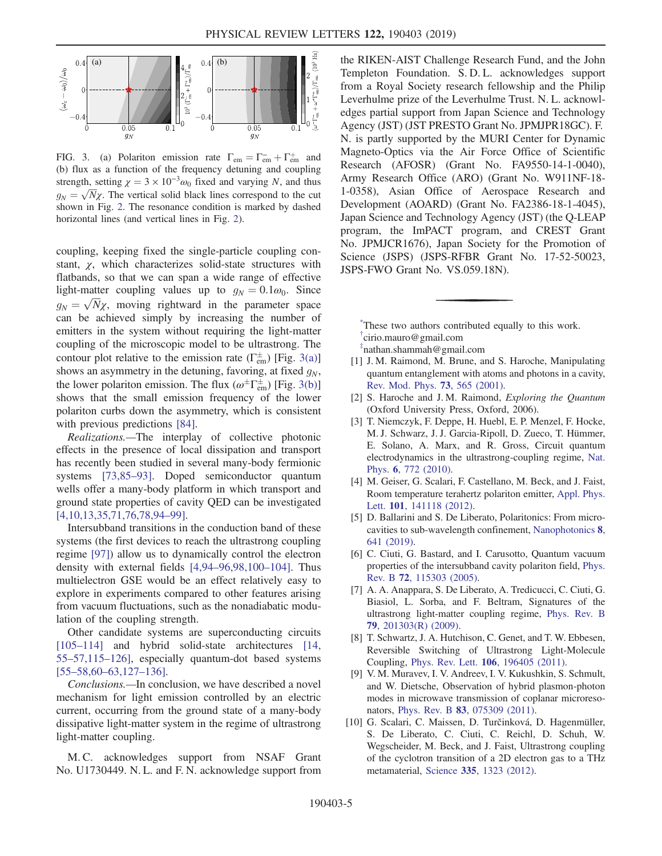<span id="page-4-7"></span>

FIG. 3. (a) Polariton emission rate  $\Gamma_{em} = \Gamma_{em}^+ + \Gamma_{em}^+$  and  $\Gamma_{em}$  and  $\Gamma_{em}$  and  $\Gamma_{em}$ (b) flux as a function of the frequency detuning and coupling strength, setting  $\chi = 3 \times 10^{-3} \omega_0$  fixed and varying N, and thus  $g_N = \sqrt{N}\chi$ . The vertical solid black lines correspond to the cut<br>shown in Fig. 2. The resonance condition is marked by dashed shown in Fig. [2](#page-3-0). The resonance condition is marked by dashed horizontal lines (and vertical lines in Fig. [2\)](#page-3-0).

coupling, keeping fixed the single-particle coupling constant,  $\chi$ , which characterizes solid-state structures with flatbands, so that we can span a wide range of effective light-matter coupling values up to  $g_N = 0.1\omega_0$ . Since  $g_N = \sqrt{N}\chi$ , moving rightward in the parameter space<br>can be achieved simply by increasing the number of can be achieved simply by increasing the number of emitters in the system without requiring the light-matter coupling of the microscopic model to be ultrastrong. The contour plot relative to the emission rate  $(\Gamma_{em}^{\pm})$  [Fig. [3\(a\)\]](#page-4-7) shows an asymmetry in the detuning, favoring, at fixed  $g_N$ , the lower polariton emission. The flux  $(\omega^{\pm} \Gamma_{em}^{\pm})$  [Fig. [3\(b\)\]](#page-4-7) shows that the small emission frequency of the lower polariton curbs down the asymmetry, which is consistent with previous predictions [\[84\]](#page-7-3).

Realizations.—The interplay of collective photonic effects in the presence of local dissipation and transport has recently been studied in several many-body fermionic systems [\[73,85](#page-7-4)–93]. Doped semiconductor quantum wells offer a many-body platform in which transport and ground state properties of cavity QED can be investigated [\[4,10,13,35,71,76,78,94](#page-4-4)–99].

Intersubband transitions in the conduction band of these systems (the first devices to reach the ultrastrong coupling regime [\[97\]](#page-7-5)) allow us to dynamically control the electron density with external fields [4,94–[96,98,100](#page-4-4)–104]. Thus multielectron GSE would be an effect relatively easy to explore in experiments compared to other features arising from vacuum fluctuations, such as the nonadiabatic modulation of the coupling strength.

Other candidate systems are superconducting circuits [\[105](#page-7-6)–114] and hybrid solid-state architectures [\[14,](#page-5-4) 55–[57,115](#page-5-4)–126], especially quantum-dot based systems [55–58,60–[63,127](#page-6-2)–136].

Conclusions.—In conclusion, we have described a novel mechanism for light emission controlled by an electric current, occurring from the ground state of a many-body dissipative light-matter system in the regime of ultrastrong light-matter coupling.

M. C. acknowledges support from NSAF Grant No. U1730449. N. L. and F. N. acknowledge support from the RIKEN-AIST Challenge Research Fund, and the John Templeton Foundation. S. D. L. acknowledges support from a Royal Society research fellowship and the Philip Leverhulme prize of the Leverhulme Trust. N. L. acknowledges partial support from Japan Science and Technology Agency (JST) (JST PRESTO Grant No. JPMJPR18GC). F. N. is partly supported by the MURI Center for Dynamic Magneto-Optics via the Air Force Office of Scientific Research (AFOSR) (Grant No. FA9550-14-1-0040), Army Research Office (ARO) (Grant No. W911NF-18- 1-0358), Asian Office of Aerospace Research and Development (AOARD) (Grant No. FA2386-18-1-4045), Japan Science and Technology Agency (JST) (the Q-LEAP program, the ImPACT program, and CREST Grant No. JPMJCR1676), Japan Society for the Promotion of Science (JSPS) (JSPS-RFBR Grant No. 17-52-50023, JSPS-FWO Grant No. VS.059.18N).

<span id="page-4-0"></span>[\\*](#page-0-1) These two authors contributed equally to this work. † cirio.mauro@gmail.com

<span id="page-4-1"></span>‡ nathan.shammah@gmail.com

- <span id="page-4-2"></span>[1] J. M. Raimond, M. Brune, and S. Haroche, Manipulating quantum entanglement with atoms and photons in a cavity, [Rev. Mod. Phys.](https://doi.org/10.1103/RevModPhys.73.565) 73, 565 (2001).
- <span id="page-4-3"></span>[2] S. Haroche and J. M. Raimond, Exploring the Quantum (Oxford University Press, Oxford, 2006).
- [3] T. Niemczyk, F. Deppe, H. Huebl, E. P. Menzel, F. Hocke, M. J. Schwarz, J. J. Garcia-Ripoll, D. Zueco, T. Hümmer, E. Solano, A. Marx, and R. Gross, Circuit quantum electrodynamics in the ultrastrong-coupling regime, [Nat.](https://doi.org/10.1038/nphys1730) Phys. 6[, 772 \(2010\).](https://doi.org/10.1038/nphys1730)
- <span id="page-4-5"></span><span id="page-4-4"></span>[4] M. Geiser, G. Scalari, F. Castellano, M. Beck, and J. Faist, Room temperature terahertz polariton emitter, [Appl. Phys.](https://doi.org/10.1063/1.4757611) Lett. 101[, 141118 \(2012\)](https://doi.org/10.1063/1.4757611).
- [5] D. Ballarini and S. De Liberato, Polaritonics: From microcavities to sub-wavelength confinement, [Nanophotonics](https://doi.org/10.1515/nanoph-2018-0188) 8, [641 \(2019\)](https://doi.org/10.1515/nanoph-2018-0188).
- <span id="page-4-6"></span>[6] C. Ciuti, G. Bastard, and I. Carusotto, Quantum vacuum properties of the intersubband cavity polariton field, [Phys.](https://doi.org/10.1103/PhysRevB.72.115303) Rev. B 72[, 115303 \(2005\).](https://doi.org/10.1103/PhysRevB.72.115303)
- [7] A. A. Anappara, S. De Liberato, A. Tredicucci, C. Ciuti, G. Biasiol, L. Sorba, and F. Beltram, Signatures of the ultrastrong light-matter coupling regime, [Phys. Rev. B](https://doi.org/10.1103/PhysRevB.79.201303) 79[, 201303\(R\) \(2009\)](https://doi.org/10.1103/PhysRevB.79.201303).
- [8] T. Schwartz, J. A. Hutchison, C. Genet, and T. W. Ebbesen, Reversible Switching of Ultrastrong Light-Molecule Coupling, Phys. Rev. Lett. 106[, 196405 \(2011\).](https://doi.org/10.1103/PhysRevLett.106.196405)
- [9] V. M. Muravev, I. V. Andreev, I. V. Kukushkin, S. Schmult, and W. Dietsche, Observation of hybrid plasmon-photon modes in microwave transmission of coplanar microresonators, Phys. Rev. B 83[, 075309 \(2011\)](https://doi.org/10.1103/PhysRevB.83.075309).
- [10] G. Scalari, C. Maissen, D. Turčinková, D. Hagenmüller, S. De Liberato, C. Ciuti, C. Reichl, D. Schuh, W. Wegscheider, M. Beck, and J. Faist, Ultrastrong coupling of the cyclotron transition of a 2D electron gas to a THz metamaterial, Science 335[, 1323 \(2012\)](https://doi.org/10.1126/science.1216022).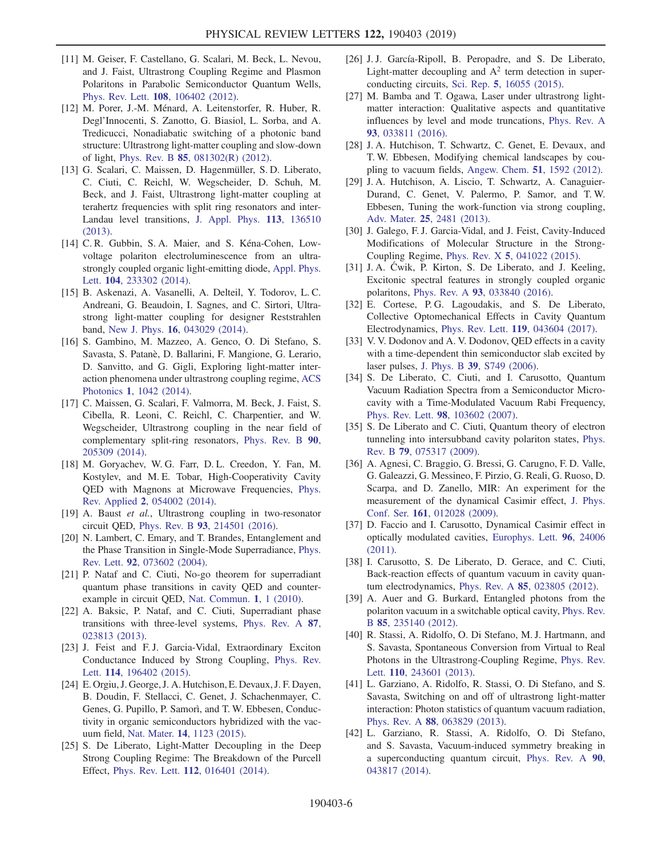- [11] M. Geiser, F. Castellano, G. Scalari, M. Beck, L. Nevou, and J. Faist, Ultrastrong Coupling Regime and Plasmon Polaritons in Parabolic Semiconductor Quantum Wells, Phys. Rev. Lett. 108[, 106402 \(2012\).](https://doi.org/10.1103/PhysRevLett.108.106402)
- [12] M. Porer, J.-M. Ménard, A. Leitenstorfer, R. Huber, R. Degl'Innocenti, S. Zanotto, G. Biasiol, L. Sorba, and A. Tredicucci, Nonadiabatic switching of a photonic band structure: Ultrastrong light-matter coupling and slow-down of light, Phys. Rev. B 85[, 081302\(R\) \(2012\)](https://doi.org/10.1103/PhysRevB.85.081302).
- [13] G. Scalari, C. Maissen, D. Hagenmüller, S. D. Liberato, C. Ciuti, C. Reichl, W. Wegscheider, D. Schuh, M. Beck, and J. Faist, Ultrastrong light-matter coupling at terahertz frequencies with split ring resonators and inter-Landau level transitions, [J. Appl. Phys.](https://doi.org/10.1063/1.4795543) 113, 136510 [\(2013\).](https://doi.org/10.1063/1.4795543)
- <span id="page-5-4"></span>[14] C.R. Gubbin, S.A. Maier, and S. Kéna-Cohen, Lowvoltage polariton electroluminescence from an ultrastrongly coupled organic light-emitting diode, [Appl. Phys.](https://doi.org/10.1063/1.4871271) Lett. 104[, 233302 \(2014\)](https://doi.org/10.1063/1.4871271).
- [15] B. Askenazi, A. Vasanelli, A. Delteil, Y. Todorov, L. C. Andreani, G. Beaudoin, I. Sagnes, and C. Sirtori, Ultrastrong light-matter coupling for designer Reststrahlen band, New J. Phys. 16[, 043029 \(2014\)](https://doi.org/10.1088/1367-2630/16/4/043029).
- [16] S. Gambino, M. Mazzeo, A. Genco, O. Di Stefano, S. Savasta, S. Patan`e, D. Ballarini, F. Mangione, G. Lerario, D. Sanvitto, and G. Gigli, Exploring light-matter interaction phenomena under ultrastrong coupling regime, [ACS](https://doi.org/10.1021/ph500266d) Photonics 1[, 1042 \(2014\)](https://doi.org/10.1021/ph500266d).
- [17] C. Maissen, G. Scalari, F. Valmorra, M. Beck, J. Faist, S. Cibella, R. Leoni, C. Reichl, C. Charpentier, and W. Wegscheider, Ultrastrong coupling in the near field of complementary split-ring resonators, [Phys. Rev. B](https://doi.org/10.1103/PhysRevB.90.205309) 90, [205309 \(2014\).](https://doi.org/10.1103/PhysRevB.90.205309)
- [18] M. Goryachev, W. G. Farr, D. L. Creedon, Y. Fan, M. Kostylev, and M. E. Tobar, High-Cooperativity Cavity QED with Magnons at Microwave Frequencies, [Phys.](https://doi.org/10.1103/PhysRevApplied.2.054002) Rev. Applied 2[, 054002 \(2014\).](https://doi.org/10.1103/PhysRevApplied.2.054002)
- [19] A. Baust et al., Ultrastrong coupling in two-resonator circuit QED, Phys. Rev. B 93[, 214501 \(2016\)](https://doi.org/10.1103/PhysRevB.93.214501).
- [20] N. Lambert, C. Emary, and T. Brandes, Entanglement and the Phase Transition in Single-Mode Superradiance, [Phys.](https://doi.org/10.1103/PhysRevLett.92.073602) Rev. Lett. 92[, 073602 \(2004\).](https://doi.org/10.1103/PhysRevLett.92.073602)
- [21] P. Nataf and C. Ciuti, No-go theorem for superradiant quantum phase transitions in cavity QED and counterexample in circuit QED, [Nat. Commun.](https://doi.org/10.1038/ncomms1069) 1, 1 (2010).
- [22] A. Baksic, P. Nataf, and C. Ciuti, Superradiant phase transitions with three-level systems, [Phys. Rev. A](https://doi.org/10.1103/PhysRevA.87.023813) 87, [023813 \(2013\).](https://doi.org/10.1103/PhysRevA.87.023813)
- [23] J. Feist and F. J. Garcia-Vidal, Extraordinary Exciton Conductance Induced by Strong Coupling, [Phys. Rev.](https://doi.org/10.1103/PhysRevLett.114.196402) Lett. 114[, 196402 \(2015\)](https://doi.org/10.1103/PhysRevLett.114.196402).
- [24] E. Orgiu, J. George, J. A. Hutchison, E. Devaux, J. F. Dayen, B. Doudin, F. Stellacci, C. Genet, J. Schachenmayer, C. Genes, G. Pupillo, P. Samorì, and T. W. Ebbesen, Conductivity in organic semiconductors hybridized with the vacuum field, Nat. Mater. 14[, 1123 \(2015\).](https://doi.org/10.1038/nmat4392)
- <span id="page-5-3"></span>[25] S. De Liberato, Light-Matter Decoupling in the Deep Strong Coupling Regime: The Breakdown of the Purcell Effect, Phys. Rev. Lett. 112[, 016401 \(2014\).](https://doi.org/10.1103/PhysRevLett.112.016401)
- [26] J.J. García-Ripoll, B. Peropadre, and S. De Liberato, Light-matter decoupling and  $A^2$  term detection in superconducting circuits, Sci. Rep. 5[, 16055 \(2015\)](https://doi.org/10.1038/srep16055).
- [27] M. Bamba and T. Ogawa, Laser under ultrastrong lightmatter interaction: Qualitative aspects and quantitative influences by level and mode truncations, [Phys. Rev. A](https://doi.org/10.1103/PhysRevA.93.033811) 93[, 033811 \(2016\).](https://doi.org/10.1103/PhysRevA.93.033811)
- [28] J. A. Hutchison, T. Schwartz, C. Genet, E. Devaux, and T. W. Ebbesen, Modifying chemical landscapes by coupling to vacuum fields, [Angew. Chem.](https://doi.org/10.1002/anie.201107033) 51, 1592 (2012).
- [29] J. A. Hutchison, A. Liscio, T. Schwartz, A. Canaguier-Durand, C. Genet, V. Palermo, P. Samor, and T. W. Ebbesen, Tuning the work-function via strong coupling, Adv. Mater. 25[, 2481 \(2013\)](https://doi.org/10.1002/adma.201203682).
- [30] J. Galego, F. J. Garcia-Vidal, and J. Feist, Cavity-Induced Modifications of Molecular Structure in the Strong-Coupling Regime, Phys. Rev. X 5[, 041022 \(2015\).](https://doi.org/10.1103/PhysRevX.5.041022)
- [31] J. A. Ćwik, P. Kirton, S. De Liberato, and J. Keeling, Excitonic spectral features in strongly coupled organic polaritons, Phys. Rev. A 93[, 033840 \(2016\).](https://doi.org/10.1103/PhysRevA.93.033840)
- [32] E. Cortese, P. G. Lagoudakis, and S. De Liberato, Collective Optomechanical Effects in Cavity Quantum Electrodynamics, Phys. Rev. Lett. 119[, 043604 \(2017\)](https://doi.org/10.1103/PhysRevLett.119.043604).
- <span id="page-5-0"></span>[33] V. V. Dodonov and A. V. Dodonov, QED effects in a cavity with a time-dependent thin semiconductor slab excited by laser pulses, J. Phys. B 39[, S749 \(2006\)](https://doi.org/10.1088/0953-4075/39/15/S20).
- [34] S. De Liberato, C. Ciuti, and I. Carusotto, Quantum Vacuum Radiation Spectra from a Semiconductor Microcavity with a Time-Modulated Vacuum Rabi Frequency, Phys. Rev. Lett. 98[, 103602 \(2007\).](https://doi.org/10.1103/PhysRevLett.98.103602)
- <span id="page-5-2"></span>[35] S. De Liberato and C. Ciuti, Quantum theory of electron tunneling into intersubband cavity polariton states, [Phys.](https://doi.org/10.1103/PhysRevB.79.075317) Rev. B 79[, 075317 \(2009\).](https://doi.org/10.1103/PhysRevB.79.075317)
- [36] A. Agnesi, C. Braggio, G. Bressi, G. Carugno, F. D. Valle, G. Galeazzi, G. Messineo, F. Pirzio, G. Reali, G. Ruoso, D. Scarpa, and D. Zanello, MIR: An experiment for the measurement of the dynamical Casimir effect, [J. Phys.](https://doi.org/10.1088/1742-6596/161/1/012028) Conf. Ser. 161[, 012028 \(2009\).](https://doi.org/10.1088/1742-6596/161/1/012028)
- [37] D. Faccio and I. Carusotto, Dynamical Casimir effect in optically modulated cavities, [Europhys. Lett.](https://doi.org/10.1209/0295-5075/96/24006) 96, 24006 [\(2011\).](https://doi.org/10.1209/0295-5075/96/24006)
- [38] I. Carusotto, S. De Liberato, D. Gerace, and C. Ciuti, Back-reaction effects of quantum vacuum in cavity quantum electrodynamics, Phys. Rev. A 85[, 023805 \(2012\).](https://doi.org/10.1103/PhysRevA.85.023805)
- <span id="page-5-1"></span>[39] A. Auer and G. Burkard, Entangled photons from the polariton vacuum in a switchable optical cavity, [Phys. Rev.](https://doi.org/10.1103/PhysRevB.85.235140) B 85[, 235140 \(2012\)](https://doi.org/10.1103/PhysRevB.85.235140).
- [40] R. Stassi, A. Ridolfo, O. Di Stefano, M. J. Hartmann, and S. Savasta, Spontaneous Conversion from Virtual to Real Photons in the Ultrastrong-Coupling Regime, [Phys. Rev.](https://doi.org/10.1103/PhysRevLett.110.243601) Lett. 110[, 243601 \(2013\)](https://doi.org/10.1103/PhysRevLett.110.243601).
- [41] L. Garziano, A. Ridolfo, R. Stassi, O. Di Stefano, and S. Savasta, Switching on and off of ultrastrong light-matter interaction: Photon statistics of quantum vacuum radiation, Phys. Rev. A 88[, 063829 \(2013\)](https://doi.org/10.1103/PhysRevA.88.063829).
- [42] L. Garziano, R. Stassi, A. Ridolfo, O. Di Stefano, and S. Savasta, Vacuum-induced symmetry breaking in a superconducting quantum circuit, [Phys. Rev. A](https://doi.org/10.1103/PhysRevA.90.043817) 90, [043817 \(2014\).](https://doi.org/10.1103/PhysRevA.90.043817)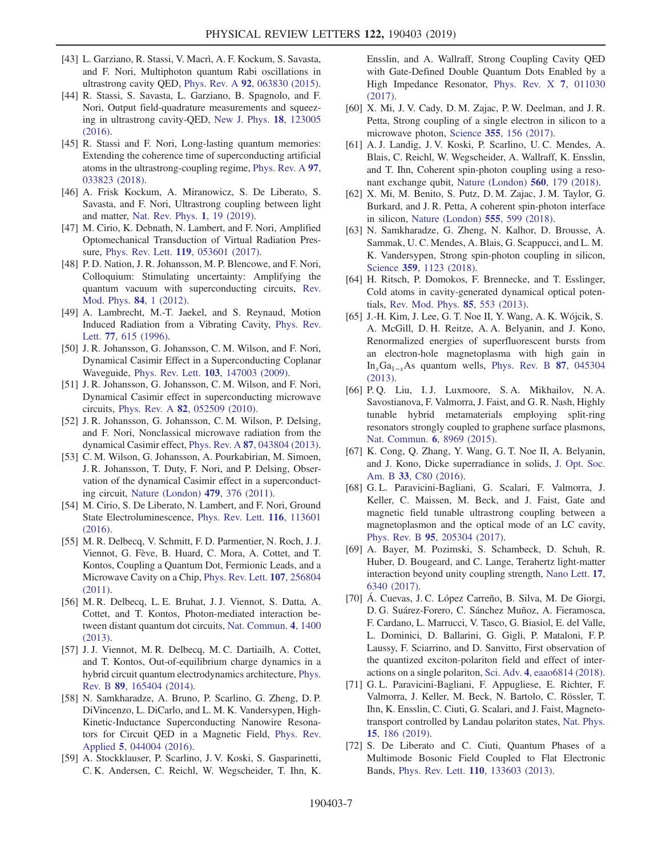- [43] L. Garziano, R. Stassi, V. Macrì, A. F. Kockum, S. Savasta, and F. Nori, Multiphoton quantum Rabi oscillations in ultrastrong cavity QED, Phys. Rev. A 92[, 063830 \(2015\).](https://doi.org/10.1103/PhysRevA.92.063830)
- [44] R. Stassi, S. Savasta, L. Garziano, B. Spagnolo, and F. Nori, Output field-quadrature measurements and squeezing in ultrastrong cavity-QED, [New J. Phys.](https://doi.org/10.1088/1367-2630/18/12/123005) 18, 123005  $(2016)$ .
- [45] R. Stassi and F. Nori, Long-lasting quantum memories: Extending the coherence time of superconducting artificial atoms in the ultrastrong-coupling regime, [Phys. Rev. A](https://doi.org/10.1103/PhysRevA.97.033823) 97, [033823 \(2018\).](https://doi.org/10.1103/PhysRevA.97.033823)
- [46] A. Frisk Kockum, A. Miranowicz, S. De Liberato, S. Savasta, and F. Nori, Ultrastrong coupling between light and matter, [Nat. Rev. Phys.](https://doi.org/10.1038/s42254-018-0006-2) 1, 19 (2019).
- [47] M. Cirio, K. Debnath, N. Lambert, and F. Nori, Amplified Optomechanical Transduction of Virtual Radiation Pressure, Phys. Rev. Lett. 119[, 053601 \(2017\).](https://doi.org/10.1103/PhysRevLett.119.053601)
- <span id="page-6-0"></span>[48] P. D. Nation, J. R. Johansson, M. P. Blencowe, and F. Nori, Colloquium: Stimulating uncertainty: Amplifying the quantum vacuum with superconducting circuits, [Rev.](https://doi.org/10.1103/RevModPhys.84.1) [Mod. Phys.](https://doi.org/10.1103/RevModPhys.84.1) 84, 1 (2012).
- [49] A. Lambrecht, M.-T. Jaekel, and S. Reynaud, Motion Induced Radiation from a Vibrating Cavity, [Phys. Rev.](https://doi.org/10.1103/PhysRevLett.77.615) Lett. 77[, 615 \(1996\)](https://doi.org/10.1103/PhysRevLett.77.615).
- [50] J. R. Johansson, G. Johansson, C. M. Wilson, and F. Nori, Dynamical Casimir Effect in a Superconducting Coplanar Waveguide, Phys. Rev. Lett. 103[, 147003 \(2009\)](https://doi.org/10.1103/PhysRevLett.103.147003).
- [51] J. R. Johansson, G. Johansson, C. M. Wilson, and F. Nori, Dynamical Casimir effect in superconducting microwave circuits, Phys. Rev. A 82[, 052509 \(2010\)](https://doi.org/10.1103/PhysRevA.82.052509).
- [52] J. R. Johansson, G. Johansson, C. M. Wilson, P. Delsing, and F. Nori, Nonclassical microwave radiation from the dynamical Casimir effect, Phys. Rev. A 87[, 043804 \(2013\).](https://doi.org/10.1103/PhysRevA.87.043804)
- [53] C. M. Wilson, G. Johansson, A. Pourkabirian, M. Simoen, J. R. Johansson, T. Duty, F. Nori, and P. Delsing, Observation of the dynamical Casimir effect in a superconducting circuit, [Nature \(London\)](https://doi.org/10.1038/nature10561) 479, 376 (2011).
- <span id="page-6-1"></span>[54] M. Cirio, S. De Liberato, N. Lambert, and F. Nori, Ground State Electroluminescence, [Phys. Rev. Lett.](https://doi.org/10.1103/PhysRevLett.116.113601) 116, 113601 [\(2016\).](https://doi.org/10.1103/PhysRevLett.116.113601)
- <span id="page-6-2"></span>[55] M. R. Delbecq, V. Schmitt, F. D. Parmentier, N. Roch, J. J. Viennot, G. Fève, B. Huard, C. Mora, A. Cottet, and T. Kontos, Coupling a Quantum Dot, Fermionic Leads, and a Microwave Cavity on a Chip, [Phys. Rev. Lett.](https://doi.org/10.1103/PhysRevLett.107.256804) 107, 256804 [\(2011\).](https://doi.org/10.1103/PhysRevLett.107.256804)
- [56] M. R. Delbecq, L. E. Bruhat, J. J. Viennot, S. Datta, A. Cottet, and T. Kontos, Photon-mediated interaction between distant quantum dot circuits, [Nat. Commun.](https://doi.org/10.1038/ncomms2407) 4, 1400 [\(2013\).](https://doi.org/10.1038/ncomms2407)
- [57] J. J. Viennot, M. R. Delbecq, M. C. Dartiailh, A. Cottet, and T. Kontos, Out-of-equilibrium charge dynamics in a hybrid circuit quantum electrodynamics architecture, [Phys.](https://doi.org/10.1103/PhysRevB.89.165404) Rev. B 89[, 165404 \(2014\).](https://doi.org/10.1103/PhysRevB.89.165404)
- [58] N. Samkharadze, A. Bruno, P. Scarlino, G. Zheng, D. P. DiVincenzo, L. DiCarlo, and L. M. K. Vandersypen, High-Kinetic-Inductance Superconducting Nanowire Resonators for Circuit QED in a Magnetic Field, [Phys. Rev.](https://doi.org/10.1103/PhysRevApplied.5.044004) Applied 5[, 044004 \(2016\).](https://doi.org/10.1103/PhysRevApplied.5.044004)
- [59] A. Stockklauser, P. Scarlino, J. V. Koski, S. Gasparinetti, C. K. Andersen, C. Reichl, W. Wegscheider, T. Ihn, K.

Ensslin, and A. Wallraff, Strong Coupling Cavity QED with Gate-Defined Double Quantum Dots Enabled by a High Impedance Resonator, [Phys. Rev. X](https://doi.org/10.1103/PhysRevX.7.011030) 7, 011030 [\(2017\).](https://doi.org/10.1103/PhysRevX.7.011030)

- [60] X. Mi, J. V. Cady, D. M. Zajac, P. W. Deelman, and J. R. Petta, Strong coupling of a single electron in silicon to a microwave photon, Science 355[, 156 \(2017\).](https://doi.org/10.1126/science.aal2469)
- [61] A. J. Landig, J. V. Koski, P. Scarlino, U. C. Mendes, A. Blais, C. Reichl, W. Wegscheider, A. Wallraff, K. Ensslin, and T. Ihn, Coherent spin-photon coupling using a resonant exchange qubit, [Nature \(London\)](https://doi.org/10.1038/s41586-018-0365-y) 560, 179 (2018).
- [62] X. Mi, M. Benito, S. Putz, D. M. Zajac, J. M. Taylor, G. Burkard, and J. R. Petta, A coherent spin-photon interface in silicon, [Nature \(London\)](https://doi.org/10.1038/nature25769) 555, 599 (2018).
- [63] N. Samkharadze, G. Zheng, N. Kalhor, D. Brousse, A. Sammak, U. C. Mendes, A. Blais, G. Scappucci, and L. M. K. Vandersypen, Strong spin-photon coupling in silicon, Science 359[, 1123 \(2018\).](https://doi.org/10.1126/science.aar4054)
- <span id="page-6-3"></span>[64] H. Ritsch, P. Domokos, F. Brennecke, and T. Esslinger, Cold atoms in cavity-generated dynamical optical potentials, [Rev. Mod. Phys.](https://doi.org/10.1103/RevModPhys.85.553) 85, 553 (2013).
- [65] J.-H. Kim, J. Lee, G. T. Noe II, Y. Wang, A. K. Wójcik, S. A. McGill, D. H. Reitze, A. A. Belyanin, and J. Kono, Renormalized energies of superfluorescent bursts from an electron-hole magnetoplasma with high gain in In<sub>x</sub>Ga<sub>1−x</sub>As quantum wells, [Phys. Rev. B](https://doi.org/10.1103/PhysRevB.87.045304) 87, 045304 [\(2013\).](https://doi.org/10.1103/PhysRevB.87.045304)
- [66] P. Q. Liu, I. J. Luxmoore, S. A. Mikhailov, N. A. Savostianova, F. Valmorra, J. Faist, and G. R. Nash, Highly tunable hybrid metamaterials employing split-ring resonators strongly coupled to graphene surface plasmons, [Nat. Commun.](https://doi.org/10.1038/ncomms9969) 6, 8969 (2015).
- [67] K. Cong, Q. Zhang, Y. Wang, G. T. Noe II, A. Belyanin, and J. Kono, Dicke superradiance in solids, [J. Opt. Soc.](https://doi.org/10.1364/JOSAB.33.000C80) Am. B 33[, C80 \(2016\).](https://doi.org/10.1364/JOSAB.33.000C80)
- [68] G. L. Paravicini-Bagliani, G. Scalari, F. Valmorra, J. Keller, C. Maissen, M. Beck, and J. Faist, Gate and magnetic field tunable ultrastrong coupling between a magnetoplasmon and the optical mode of an LC cavity, Phys. Rev. B 95[, 205304 \(2017\).](https://doi.org/10.1103/PhysRevB.95.205304)
- [69] A. Bayer, M. Pozimski, S. Schambeck, D. Schuh, R. Huber, D. Bougeard, and C. Lange, Terahertz light-matter interaction beyond unity coupling strength, [Nano Lett.](https://doi.org/10.1021/acs.nanolett.7b03103) 17, [6340 \(2017\).](https://doi.org/10.1021/acs.nanolett.7b03103)
- [70] Á. Cuevas, J. C. López Carreño, B. Silva, M. De Giorgi, D. G. Suárez-Forero, C. Sánchez Muñoz, A. Fieramosca, F. Cardano, L. Marrucci, V. Tasco, G. Biasiol, E. del Valle, L. Dominici, D. Ballarini, G. Gigli, P. Mataloni, F. P. Laussy, F. Sciarrino, and D. Sanvitto, First observation of the quantized exciton-polariton field and effect of interactions on a single polariton, Sci. Adv. 4[, eaao6814 \(2018\).](https://doi.org/10.1126/sciadv.aao6814)
- [71] G. L. Paravicini-Bagliani, F. Appugliese, E. Richter, F. Valmorra, J. Keller, M. Beck, N. Bartolo, C. Rössler, T. Ihn, K. Ensslin, C. Ciuti, G. Scalari, and J. Faist, Magnetotransport controlled by Landau polariton states, [Nat. Phys.](https://doi.org/10.1038/s41567-018-0346-y) 15[, 186 \(2019\)](https://doi.org/10.1038/s41567-018-0346-y).
- [72] S. De Liberato and C. Ciuti, Quantum Phases of a Multimode Bosonic Field Coupled to Flat Electronic Bands, Phys. Rev. Lett. 110[, 133603 \(2013\).](https://doi.org/10.1103/PhysRevLett.110.133603)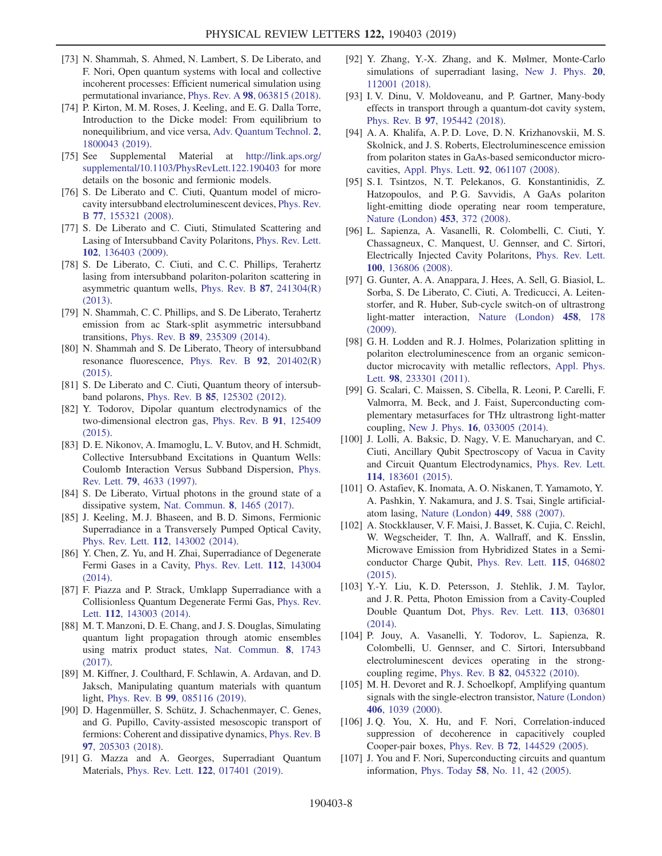- <span id="page-7-4"></span>[73] N. Shammah, S. Ahmed, N. Lambert, S. De Liberato, and F. Nori, Open quantum systems with local and collective incoherent processes: Efficient numerical simulation using permutational invariance, Phys. Rev. A 98[, 063815 \(2018\).](https://doi.org/10.1103/PhysRevA.98.063815)
- [74] P. Kirton, M. M. Roses, J. Keeling, and E. G. Dalla Torre, Introduction to the Dicke model: From equilibrium to nonequilibrium, and vice versa, [Adv. Quantum Technol.](https://doi.org/10.1002/qute.201800043) 2, [1800043 \(2019\)](https://doi.org/10.1002/qute.201800043).
- <span id="page-7-0"></span>[75] See Supplemental Material at [http://link.aps.org/](http://link.aps.org/supplemental/10.1103/PhysRevLett.122.190403) [supplemental/10.1103/PhysRevLett.122.190403](http://link.aps.org/supplemental/10.1103/PhysRevLett.122.190403) for more details on the bosonic and fermionic models.
- [76] S. De Liberato and C. Ciuti, Quantum model of microcavity intersubband electroluminescent devices, [Phys. Rev.](https://doi.org/10.1103/PhysRevB.77.155321) B 77[, 155321 \(2008\)](https://doi.org/10.1103/PhysRevB.77.155321).
- [77] S. De Liberato and C. Ciuti, Stimulated Scattering and Lasing of Intersubband Cavity Polaritons, [Phys. Rev. Lett.](https://doi.org/10.1103/PhysRevLett.102.136403) 102[, 136403 \(2009\)](https://doi.org/10.1103/PhysRevLett.102.136403).
- [78] S. De Liberato, C. Ciuti, and C. C. Phillips, Terahertz lasing from intersubband polariton-polariton scattering in asymmetric quantum wells, [Phys. Rev. B](https://doi.org/10.1103/PhysRevB.87.241304) 87, 241304(R) [\(2013\).](https://doi.org/10.1103/PhysRevB.87.241304)
- [79] N. Shammah, C. C. Phillips, and S. De Liberato, Terahertz emission from ac Stark-split asymmetric intersubband transitions, Phys. Rev. B 89[, 235309 \(2014\).](https://doi.org/10.1103/PhysRevB.89.235309)
- [80] N. Shammah and S. De Liberato, Theory of intersubband resonance fluorescence, [Phys. Rev. B](https://doi.org/10.1103/PhysRevB.92.201402) 92, 201402(R) [\(2015\).](https://doi.org/10.1103/PhysRevB.92.201402)
- <span id="page-7-1"></span>[81] S. De Liberato and C. Ciuti, Quantum theory of intersubband polarons, Phys. Rev. B 85[, 125302 \(2012\).](https://doi.org/10.1103/PhysRevB.85.125302)
- [82] Y. Todorov, Dipolar quantum electrodynamics of the two-dimensional electron gas, [Phys. Rev. B](https://doi.org/10.1103/PhysRevB.91.125409) 91, 125409 [\(2015\).](https://doi.org/10.1103/PhysRevB.91.125409)
- <span id="page-7-2"></span>[83] D. E. Nikonov, A. Imamoglu, L. V. Butov, and H. Schmidt, Collective Intersubband Excitations in Quantum Wells: Coulomb Interaction Versus Subband Dispersion, [Phys.](https://doi.org/10.1103/PhysRevLett.79.4633) Rev. Lett. 79[, 4633 \(1997\)](https://doi.org/10.1103/PhysRevLett.79.4633).
- <span id="page-7-3"></span>[84] S. De Liberato, Virtual photons in the ground state of a dissipative system, [Nat. Commun.](https://doi.org/10.1038/s41467-017-01504-5) 8, 1465 (2017).
- [85] J. Keeling, M. J. Bhaseen, and B. D. Simons, Fermionic Superradiance in a Transversely Pumped Optical Cavity, Phys. Rev. Lett. 112[, 143002 \(2014\).](https://doi.org/10.1103/PhysRevLett.112.143002)
- [86] Y. Chen, Z. Yu, and H. Zhai, Superradiance of Degenerate Fermi Gases in a Cavity, [Phys. Rev. Lett.](https://doi.org/10.1103/PhysRevLett.112.143004) 112, 143004 [\(2014\).](https://doi.org/10.1103/PhysRevLett.112.143004)
- [87] F. Piazza and P. Strack, Umklapp Superradiance with a Collisionless Quantum Degenerate Fermi Gas, [Phys. Rev.](https://doi.org/10.1103/PhysRevLett.112.143003) Lett. 112[, 143003 \(2014\)](https://doi.org/10.1103/PhysRevLett.112.143003).
- [88] M. T. Manzoni, D. E. Chang, and J. S. Douglas, Simulating quantum light propagation through atomic ensembles using matrix product states, [Nat. Commun.](https://doi.org/10.1038/s41467-017-01416-4) 8, 1743 [\(2017\).](https://doi.org/10.1038/s41467-017-01416-4)
- [89] M. Kiffner, J. Coulthard, F. Schlawin, A. Ardavan, and D. Jaksch, Manipulating quantum materials with quantum light, Phys. Rev. B 99[, 085116 \(2019\).](https://doi.org/10.1103/PhysRevB.99.085116)
- [90] D. Hagenmüller, S. Schütz, J. Schachenmayer, C. Genes, and G. Pupillo, Cavity-assisted mesoscopic transport of fermions: Coherent and dissipative dynamics, [Phys. Rev. B](https://doi.org/10.1103/PhysRevB.97.205303) 97[, 205303 \(2018\).](https://doi.org/10.1103/PhysRevB.97.205303)
- [91] G. Mazza and A. Georges, Superradiant Quantum Materials, Phys. Rev. Lett. 122[, 017401 \(2019\).](https://doi.org/10.1103/PhysRevLett.122.017401)
- [92] Y. Zhang, Y.-X. Zhang, and K. Mølmer, Monte-Carlo simulations of superradiant lasing, [New J. Phys.](https://doi.org/10.1088/1367-2630/aaec36) 20, [112001 \(2018\).](https://doi.org/10.1088/1367-2630/aaec36)
- [93] I. V. Dinu, V. Moldoveanu, and P. Gartner, Many-body effects in transport through a quantum-dot cavity system, Phys. Rev. B 97[, 195442 \(2018\).](https://doi.org/10.1103/PhysRevB.97.195442)
- [94] A. A. Khalifa, A. P. D. Love, D. N. Krizhanovskii, M. S. Skolnick, and J. S. Roberts, Electroluminescence emission from polariton states in GaAs-based semiconductor microcavities, [Appl. Phys. Lett.](https://doi.org/10.1063/1.2844860) 92, 061107 (2008).
- [95] S. I. Tsintzos, N. T. Pelekanos, G. Konstantinidis, Z. Hatzopoulos, and P. G. Savvidis, A GaAs polariton light-emitting diode operating near room temperature, [Nature \(London\)](https://doi.org/10.1038/nature06979) 453, 372 (2008).
- [96] L. Sapienza, A. Vasanelli, R. Colombelli, C. Ciuti, Y. Chassagneux, C. Manquest, U. Gennser, and C. Sirtori, Electrically Injected Cavity Polaritons, [Phys. Rev. Lett.](https://doi.org/10.1103/PhysRevLett.100.136806) 100[, 136806 \(2008\)](https://doi.org/10.1103/PhysRevLett.100.136806).
- <span id="page-7-5"></span>[97] G. Gunter, A. A. Anappara, J. Hees, A. Sell, G. Biasiol, L. Sorba, S. De Liberato, C. Ciuti, A. Tredicucci, A. Leitenstorfer, and R. Huber, Sub-cycle switch-on of ultrastrong light-matter interaction, [Nature \(London\)](https://doi.org/10.1038/nature07838) 458, 178 [\(2009\).](https://doi.org/10.1038/nature07838)
- [98] G. H. Lodden and R. J. Holmes, Polarization splitting in polariton electroluminescence from an organic semiconductor microcavity with metallic reflectors, [Appl. Phys.](https://doi.org/10.1063/1.3599058) Lett. 98[, 233301 \(2011\)](https://doi.org/10.1063/1.3599058).
- [99] G. Scalari, C. Maissen, S. Cibella, R. Leoni, P. Carelli, F. Valmorra, M. Beck, and J. Faist, Superconducting complementary metasurfaces for THz ultrastrong light-matter coupling, New J. Phys. 16[, 033005 \(2014\).](https://doi.org/10.1088/1367-2630/16/3/033005)
- [100] J. Lolli, A. Baksic, D. Nagy, V. E. Manucharyan, and C. Ciuti, Ancillary Qubit Spectroscopy of Vacua in Cavity and Circuit Quantum Electrodynamics, [Phys. Rev. Lett.](https://doi.org/10.1103/PhysRevLett.114.183601) 114[, 183601 \(2015\)](https://doi.org/10.1103/PhysRevLett.114.183601).
- [101] O. Astafiev, K. Inomata, A. O. Niskanen, T. Yamamoto, Y. A. Pashkin, Y. Nakamura, and J. S. Tsai, Single artificialatom lasing, [Nature \(London\)](https://doi.org/10.1038/nature06141) 449, 588 (2007).
- [102] A. Stockklauser, V. F. Maisi, J. Basset, K. Cujia, C. Reichl, W. Wegscheider, T. Ihn, A. Wallraff, and K. Ensslin, Microwave Emission from Hybridized States in a Semiconductor Charge Qubit, [Phys. Rev. Lett.](https://doi.org/10.1103/PhysRevLett.115.046802) 115, 046802 [\(2015\).](https://doi.org/10.1103/PhysRevLett.115.046802)
- [103] Y.-Y. Liu, K. D. Petersson, J. Stehlik, J. M. Taylor, and J. R. Petta, Photon Emission from a Cavity-Coupled Double Quantum Dot, [Phys. Rev. Lett.](https://doi.org/10.1103/PhysRevLett.113.036801) 113, 036801 [\(2014\).](https://doi.org/10.1103/PhysRevLett.113.036801)
- [104] P. Jouy, A. Vasanelli, Y. Todorov, L. Sapienza, R. Colombelli, U. Gennser, and C. Sirtori, Intersubband electroluminescent devices operating in the strongcoupling regime, Phys. Rev. B 82[, 045322 \(2010\).](https://doi.org/10.1103/PhysRevB.82.045322)
- <span id="page-7-6"></span>[105] M. H. Devoret and R. J. Schoelkopf, Amplifying quantum signals with the single-electron transistor, [Nature \(London\)](https://doi.org/10.1038/35023253) 406[, 1039 \(2000\).](https://doi.org/10.1038/35023253)
- [106] J.Q. You, X. Hu, and F. Nori, Correlation-induced suppression of decoherence in capacitively coupled Cooper-pair boxes, Phys. Rev. B 72[, 144529 \(2005\)](https://doi.org/10.1103/PhysRevB.72.144529).
- [107] J. You and F. Nori, Superconducting circuits and quantum information, Phys. Today 58[, No. 11, 42 \(2005\)](https://doi.org/10.1063/1.2155757).